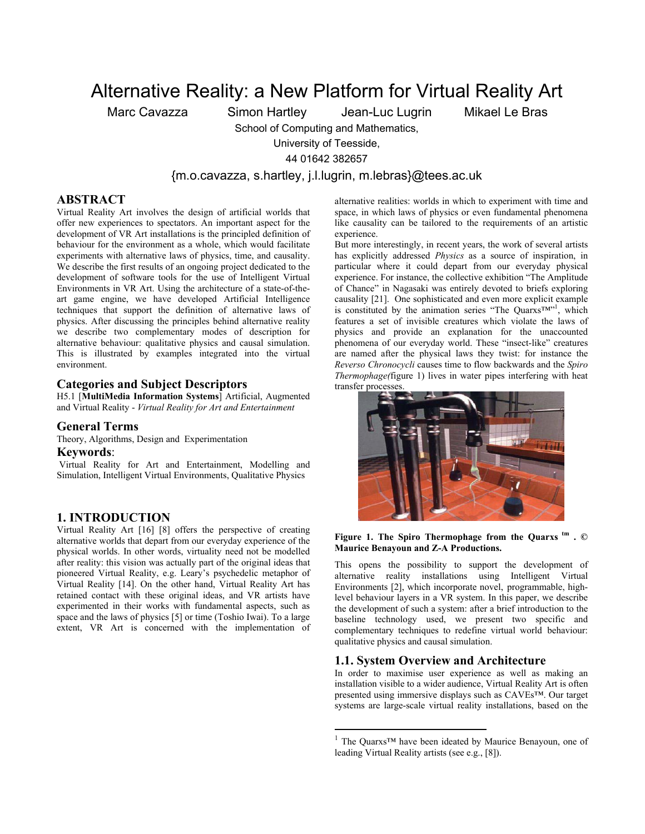## Alternative Reality: a New Platform for Virtual Reality Art

Marc Cavazza Simon Hartley Jean-Luc Lugrin Mikael Le Bras

School of Computing and Mathematics,

University of Teesside,

44 01642 382657

{m.o.cavazza, s.hartley, j.l.lugrin, m.lebras}@tees.ac.uk

## **ABSTRACT**

Virtual Reality Art involves the design of artificial worlds that offer new experiences to spectators. An important aspect for the development of VR Art installations is the principled definition of behaviour for the environment as a whole, which would facilitate experiments with alternative laws of physics, time, and causality. We describe the first results of an ongoing project dedicated to the development of software tools for the use of Intelligent Virtual Environments in VR Art. Using the architecture of a state-of-theart game engine, we have developed Artificial Intelligence techniques that support the definition of alternative laws of physics. After discussing the principles behind alternative reality we describe two complementary modes of description for alternative behaviour: qualitative physics and causal simulation. This is illustrated by examples integrated into the virtual environment.

## **Categories and Subject Descriptors**

H5.1 [**MultiMedia Information Systems**] Artificial, Augmented and Virtual Reality - *Virtual Reality for Art and Entertainment*

## **General Terms**

Theory, Algorithms, Design and Experimentation

#### **Keywords**:

 Virtual Reality for Art and Entertainment, Modelling and Simulation, Intelligent Virtual Environments, Qualitative Physics

## **1. INTRODUCTION**

Virtual Reality Art [16] [8] offers the perspective of creating alternative worlds that depart from our everyday experience of the physical worlds. In other words, virtuality need not be modelled after reality: this vision was actually part of the original ideas that pioneered Virtual Reality, e.g. Leary's psychedelic metaphor of Virtual Reality [14]. On the other hand, Virtual Reality Art has retained contact with these original ideas, and VR artists have experimented in their works with fundamental aspects, such as space and the laws of physics [5] or time (Toshio Iwai). To a large extent, VR Art is concerned with the implementation of alternative realities: worlds in which to experiment with time and space, in which laws of physics or even fundamental phenomena like causality can be tailored to the requirements of an artistic experience.

But more interestingly, in recent years, the work of several artists has explicitly addressed *Physics* as a source of inspiration, in particular where it could depart from our everyday physical experience. For instance, the collective exhibition "The Amplitude of Chance" in Nagasaki was entirely devoted to briefs exploring causality [21]. One sophisticated and even more explicit example is constituted by the animation series "The Quarxs™"[1](#page-0-0) , which features a set of invisible creatures which violate the laws of physics and provide an explanation for the unaccounted phenomena of our everyday world. These "insect-like" creatures are named after the physical laws they twist: for instance the *Reverso Chronocycli* causes time to flow backwards and the *Spiro Thermophage(*figure 1) lives in water pipes interfering with heat transfer processes.



Figure 1. The Spiro Thermophage from the Quarxs <sup>tm</sup>. © **Maurice Benayoun and Z-A Productions.** 

This opens the possibility to support the development of alternative reality installations using Intelligent Virtual Environments [2], which incorporate novel, programmable, highlevel behaviour layers in a VR system. In this paper, we describe the development of such a system: after a brief introduction to the baseline technology used, we present two specific and complementary techniques to redefine virtual world behaviour: qualitative physics and causal simulation.

## **1.1. System Overview and Architecture**

 $\overline{a}$ 

In order to maximise user experience as well as making an installation visible to a wider audience, Virtual Reality Art is often presented using immersive displays such as CAVEs™. Our target systems are large-scale virtual reality installations, based on the

<span id="page-0-0"></span><sup>1</sup> The Quarxs™ have been ideated by Maurice Benayoun, one of leading Virtual Reality artists (see e.g., [8]).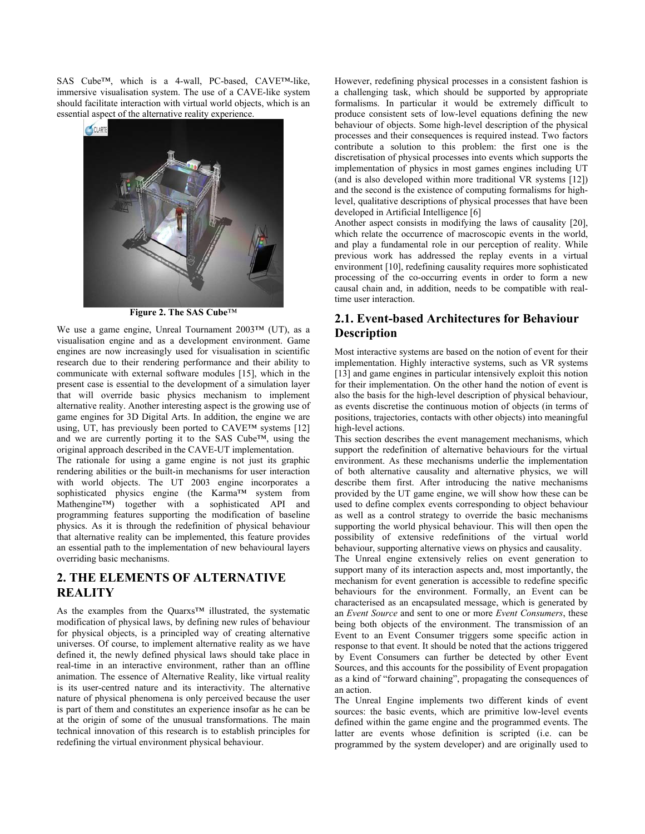SAS Cube™, which is a 4-wall, PC-based, CAVE™-like, immersive visualisation system. The use of a CAVE-like system should facilitate interaction with virtual world objects, which is an essential aspect of the alternative reality experience.



We use a game engine, Unreal Tournament 2003<sup>™</sup> (UT), as a **Description** visualisation engine and as a development environment. Game engines are now increasingly used for visualisation in scientific research due to their rendering performance and their ability to communicate with external software modules [15], which in the present case is essential to the development of a simulation layer that will override basic physics mechanism to implement alternative reality. Another interesting aspect is the growing use of game engines for 3D Digital Arts. In addition, the engine we are using, UT, has previously been ported to CAVE™ systems [12] and we are currently porting it to the SAS Cube™, using the original approach described in the CAVE-UT implementation.

The rationale for using a game engine is not just its graphic rendering abilities or the built-in mechanisms for user interaction with world objects. The UT 2003 engine incorporates a sophisticated physics engine (the Karma™ system from Mathengine™) together with a sophisticated API and programming features supporting the modification of baseline physics. As it is through the redefinition of physical behaviour that alternative reality can be implemented, this feature provides an essential path to the implementation of new behavioural layers overriding basic mechanisms. The Unreal engine extensively relies on event generation to

## **2. THE ELEMENTS OF ALTERNATIVE REALITY**

As the examples from the Quarxs<sup>™</sup> illustrated, the systematic modification of physical laws, by defining new rules of behaviour for physical objects, is a principled way of creating alternative universes. Of course, to implement alternative reality as we have defined it, the newly defined physical laws should take place in real-time in an interactive environment, rather than an offline animation. The essence of Alternative Reality, like virtual reality is its user-centred nature and its interactivity. The alternative nature of physical phenomena is only perceived because the user is part of them and constitutes an experience insofar as he can be at the origin of some of the unusual transformations. The main technical innovation of this research is to establish principles for redefining the virtual environment physical behaviour.

However, redefining physical processes in a consistent fashion is a challenging task, which should be supported by appropriate formalisms. In particular it would be extremely difficult to produce consistent sets of low-level equations defining the new behaviour of objects. Some high-level description of the physical processes and their consequences is required instead. Two factors contribute a solution to this problem: the first one is the discretisation of physical processes into events which supports the implementation of physics in most games engines including UT (and is also developed within more traditional VR systems [12]) and the second is the existence of computing formalisms for highlevel, qualitative descriptions of physical processes that have been developed in Artificial Intelligence [6]

Another aspect consists in modifying the laws of causality [20], which relate the occurrence of macroscopic events in the world, and play a fundamental role in our perception of reality. While previous work has addressed the replay events in a virtual environment [10], redefining causality requires more sophisticated processing of the co-occurring events in order to form a new causal chain and, in addition, needs to be compatible with realtime user interaction.

# **Figure 2. The SAS Cube**™ **2.1. Event-based Architectures for Behaviour**

Most interactive systems are based on the notion of event for their implementation. Highly interactive systems, such as VR systems [13] and game engines in particular intensively exploit this notion for their implementation. On the other hand the notion of event is also the basis for the high-level description of physical behaviour, as events discretise the continuous motion of objects (in terms of positions, trajectories, contacts with other objects) into meaningful high-level actions.

This section describes the event management mechanisms, which support the redefinition of alternative behaviours for the virtual environment. As these mechanisms underlie the implementation of both alternative causality and alternative physics, we will describe them first. After introducing the native mechanisms provided by the UT game engine, we will show how these can be used to define complex events corresponding to object behaviour as well as a control strategy to override the basic mechanisms supporting the world physical behaviour. This will then open the possibility of extensive redefinitions of the virtual world behaviour, supporting alternative views on physics and causality.

support many of its interaction aspects and, most importantly, the mechanism for event generation is accessible to redefine specific behaviours for the environment. Formally, an Event can be characterised as an encapsulated message, which is generated by an *Event Source* and sent to one or more *Event Consumers*, these being both objects of the environment. The transmission of an Event to an Event Consumer triggers some specific action in response to that event. It should be noted that the actions triggered by Event Consumers can further be detected by other Event Sources, and this accounts for the possibility of Event propagation as a kind of "forward chaining", propagating the consequences of an action.

The Unreal Engine implements two different kinds of event sources: the basic events, which are primitive low-level events defined within the game engine and the programmed events. The latter are events whose definition is scripted (i.e. can be programmed by the system developer) and are originally used to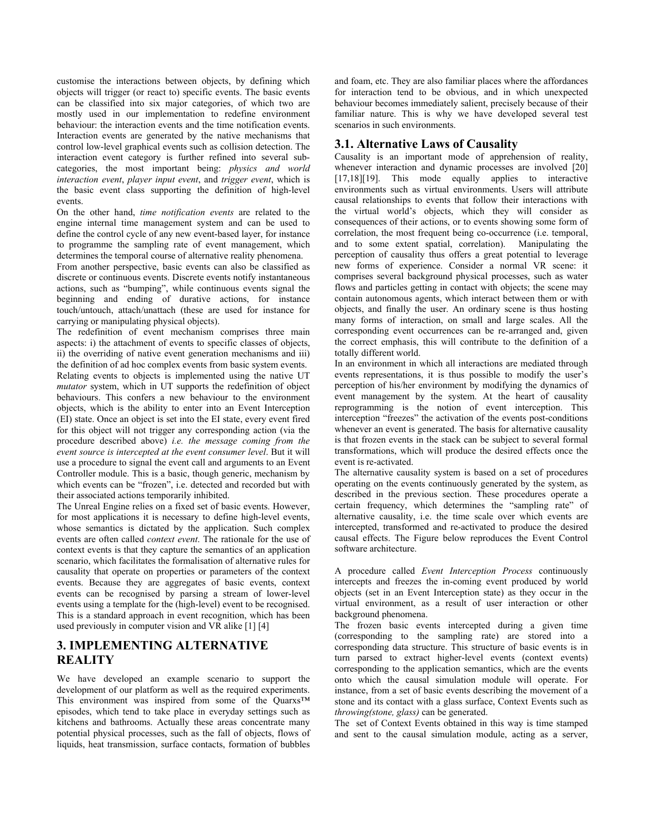customise the interactions between objects, by defining which objects will trigger (or react to) specific events. The basic events can be classified into six major categories, of which two are mostly used in our implementation to redefine environment behaviour: the interaction events and the time notification events. Interaction events are generated by the native mechanisms that control low-level graphical events such as collision detection. The interaction event category is further refined into several subcategories, the most important being: *physics and world interaction event*, *player input event*, and *trigger event*, which is the basic event class supporting the definition of high-level events.

On the other hand, *time notification events* are related to the engine internal time management system and can be used to define the control cycle of any new event-based layer, for instance to programme the sampling rate of event management, which determines the temporal course of alternative reality phenomena.

From another perspective, basic events can also be classified as discrete or continuous events. Discrete events notify instantaneous actions, such as "bumping", while continuous events signal the beginning and ending of durative actions, for instance touch/untouch, attach/unattach (these are used for instance for carrying or manipulating physical objects).

The redefinition of event mechanism comprises three main aspects: i) the attachment of events to specific classes of objects, ii) the overriding of native event generation mechanisms and iii) the definition of ad hoc complex events from basic system events. Relating events to objects is implemented using the native UT *mutator* system, which in UT supports the redefinition of object behaviours. This confers a new behaviour to the environment objects, which is the ability to enter into an Event Interception (EI) state. Once an object is set into the EI state, every event fired for this object will not trigger any corresponding action (via the procedure described above) *i.e. the message coming from the event source is intercepted at the event consumer level*. But it will use a procedure to signal the event call and arguments to an Event Controller module. This is a basic, though generic, mechanism by which events can be "frozen", i.e. detected and recorded but with their associated actions temporarily inhibited.

The Unreal Engine relies on a fixed set of basic events. However, for most applications it is necessary to define high-level events, whose semantics is dictated by the application. Such complex events are often called *context event*. The rationale for the use of context events is that they capture the semantics of an application scenario, which facilitates the formalisation of alternative rules for causality that operate on properties or parameters of the context events. Because they are aggregates of basic events, context events can be recognised by parsing a stream of lower-level events using a template for the (high-level) event to be recognised. This is a standard approach in event recognition, which has been used previously in computer vision and VR alike [1] [4]

## **3. IMPLEMENTING ALTERNATIVE REALITY**

We have developed an example scenario to support the development of our platform as well as the required experiments. This environment was inspired from some of the Quarxs™ episodes, which tend to take place in everyday settings such as kitchens and bathrooms. Actually these areas concentrate many potential physical processes, such as the fall of objects, flows of liquids, heat transmission, surface contacts, formation of bubbles

and foam, etc. They are also familiar places where the affordances for interaction tend to be obvious, and in which unexpected behaviour becomes immediately salient, precisely because of their familiar nature. This is why we have developed several test scenarios in such environments.

## **3.1. Alternative Laws of Causality**

Causality is an important mode of apprehension of reality, whenever interaction and dynamic processes are involved [20] [17,18][19]. This mode equally applies to interactive environments such as virtual environments. Users will attribute causal relationships to events that follow their interactions with the virtual world's objects, which they will consider as consequences of their actions, or to events showing some form of correlation, the most frequent being co-occurrence (i.e. temporal, and to some extent spatial, correlation). Manipulating the perception of causality thus offers a great potential to leverage new forms of experience. Consider a normal VR scene: it comprises several background physical processes, such as water flows and particles getting in contact with objects; the scene may contain autonomous agents, which interact between them or with objects, and finally the user. An ordinary scene is thus hosting many forms of interaction, on small and large scales. All the corresponding event occurrences can be re-arranged and, given the correct emphasis, this will contribute to the definition of a totally different world.

In an environment in which all interactions are mediated through events representations, it is thus possible to modify the user's perception of his/her environment by modifying the dynamics of event management by the system. At the heart of causality reprogramming is the notion of event interception. This interception "freezes" the activation of the events post-conditions whenever an event is generated. The basis for alternative causality is that frozen events in the stack can be subject to several formal transformations, which will produce the desired effects once the event is re-activated.

The alternative causality system is based on a set of procedures operating on the events continuously generated by the system, as described in the previous section. These procedures operate a certain frequency, which determines the "sampling rate" of alternative causality, i.e. the time scale over which events are intercepted, transformed and re-activated to produce the desired causal effects. The Figure below reproduces the Event Control software architecture.

A procedure called *Event Interception Process* continuously intercepts and freezes the in-coming event produced by world objects (set in an Event Interception state) as they occur in the virtual environment, as a result of user interaction or other background phenomena.

The frozen basic events intercepted during a given time (corresponding to the sampling rate) are stored into a corresponding data structure. This structure of basic events is in turn parsed to extract higher-level events (context events) corresponding to the application semantics, which are the events onto which the causal simulation module will operate. For instance, from a set of basic events describing the movement of a stone and its contact with a glass surface, Context Events such as *throwing(stone, glass)* can be generated.

The set of Context Events obtained in this way is time stamped and sent to the causal simulation module, acting as a server,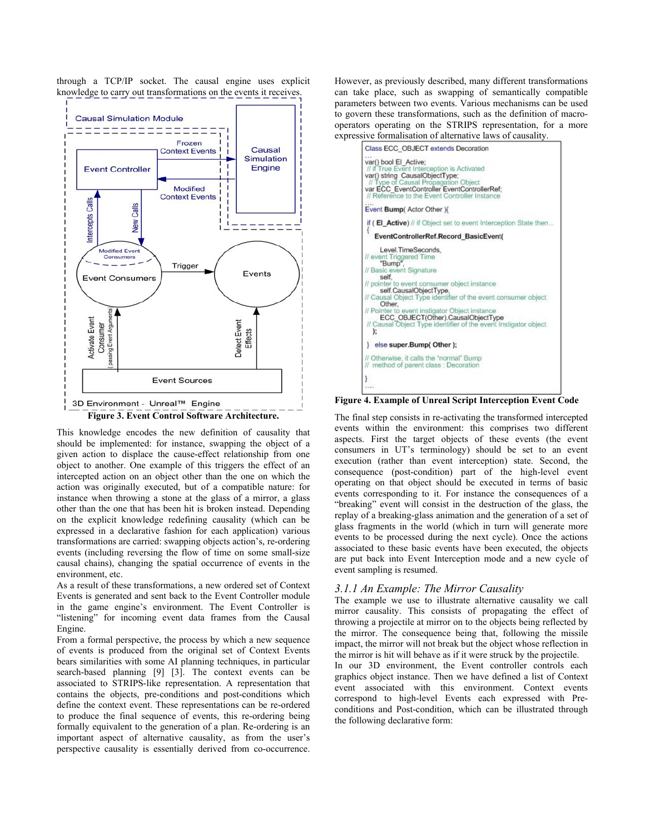

through a TCP/IP socket. The causal engine uses explicit knowledge to carry out transformations on the events it receives.

**Figure 3. Event Control Software Architecture.** 

This knowledge encodes the new definition of causality that should be implemented: for instance, swapping the object of a given action to displace the cause-effect relationship from one object to another. One example of this triggers the effect of an intercepted action on an object other than the one on which the action was originally executed, but of a compatible nature: for instance when throwing a stone at the glass of a mirror, a glass other than the one that has been hit is broken instead. Depending on the explicit knowledge redefining causality (which can be expressed in a declarative fashion for each application) various transformations are carried: swapping objects action's, re-ordering events (including reversing the flow of time on some small-size causal chains), changing the spatial occurrence of events in the environment, etc.

As a result of these transformations, a new ordered set of Context Events is generated and sent back to the Event Controller module in the game engine's environment. The Event Controller is "listening" for incoming event data frames from the Causal Engine.

From a formal perspective, the process by which a new sequence of events is produced from the original set of Context Events bears similarities with some AI planning techniques, in particular search-based planning [9] [3]. The context events can be associated to STRIPS-like representation. A representation that contains the objects, pre-conditions and post-conditions which define the context event. These representations can be re-ordered to produce the final sequence of events, this re-ordering being formally equivalent to the generation of a plan. Re-ordering is an important aspect of alternative causality, as from the user's perspective causality is essentially derived from co-occurrence.

However, as previously described, many different transformations can take place, such as swapping of semantically compatible parameters between two events. Various mechanisms can be used to govern these transformations, such as the definition of macrooperators operating on the STRIPS representation, for a more expressive formalisation of alternative laws of causality.



**Figure 4. Example of Unreal Script Interception Event Code** 

The final step consists in re-activating the transformed intercepted events within the environment: this comprises two different aspects. First the target objects of these events (the event consumers in UT's terminology) should be set to an event execution (rather than event interception) state. Second, the consequence (post-condition) part of the high-level event operating on that object should be executed in terms of basic events corresponding to it. For instance the consequences of a "breaking" event will consist in the destruction of the glass, the replay of a breaking-glass animation and the generation of a set of glass fragments in the world (which in turn will generate more events to be processed during the next cycle). Once the actions associated to these basic events have been executed, the objects are put back into Event Interception mode and a new cycle of event sampling is resumed.

#### *3.1.1 An Example: The Mirror Causality*

The example we use to illustrate alternative causality we call mirror causality. This consists of propagating the effect of throwing a projectile at mirror on to the objects being reflected by the mirror. The consequence being that, following the missile impact, the mirror will not break but the object whose reflection in the mirror is hit will behave as if it were struck by the projectile.

In our 3D environment, the Event controller controls each graphics object instance. Then we have defined a list of Context event associated with this environment. Context events correspond to high-level Events each expressed with Preconditions and Post-condition, which can be illustrated through the following declarative form: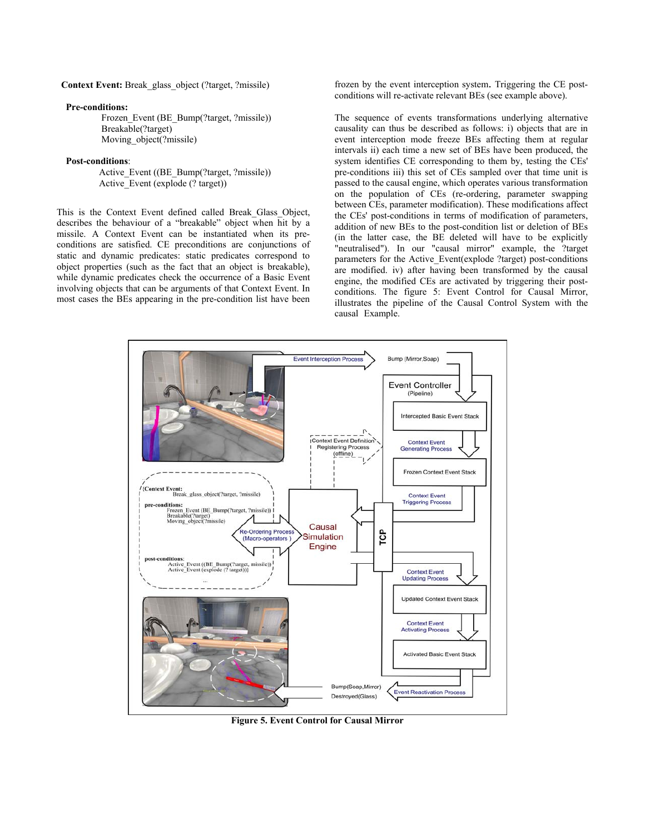**Context Event:** Break\_glass\_object (?target, ?missile)

#### **Pre-conditions:**

Frozen\_Event (BE\_Bump(?target, ?missile)) Breakable(?target) Moving\_object(?missile)

#### **Post-conditions**:

Active\_Event ((BE\_Bump(?target, ?missile)) Active Event (explode (? target))

This is the Context Event defined called Break\_Glass\_Object, describes the behaviour of a "breakable" object when hit by a missile. A Context Event can be instantiated when its preconditions are satisfied. CE preconditions are conjunctions of static and dynamic predicates: static predicates correspond to object properties (such as the fact that an object is breakable), while dynamic predicates check the occurrence of a Basic Event involving objects that can be arguments of that Context Event. In most cases the BEs appearing in the pre-condition list have been frozen by the event interception system. Triggering the CE postconditions will re-activate relevant BEs (see example above).

The sequence of events transformations underlying alternative causality can thus be described as follows: i) objects that are in event interception mode freeze BEs affecting them at regular intervals ii) each time a new set of BEs have been produced, the system identifies CE corresponding to them by, testing the CEs' pre-conditions iii) this set of CEs sampled over that time unit is passed to the causal engine, which operates various transformation on the population of CEs (re-ordering, parameter swapping between CEs, parameter modification). These modifications affect the CEs' post-conditions in terms of modification of parameters, addition of new BEs to the post-condition list or deletion of BEs (in the latter case, the BE deleted will have to be explicitly "neutralised"). In our "causal mirror" example, the ?target parameters for the Active\_Event(explode ?target) post-conditions are modified. iv) after having been transformed by the causal engine, the modified CEs are activated by triggering their postconditions. The figure 5: Event Control for Causal Mirror, illustrates the pipeline of the Causal Control System with the causal Example.



**Figure 5. Event Control for Causal Mirror**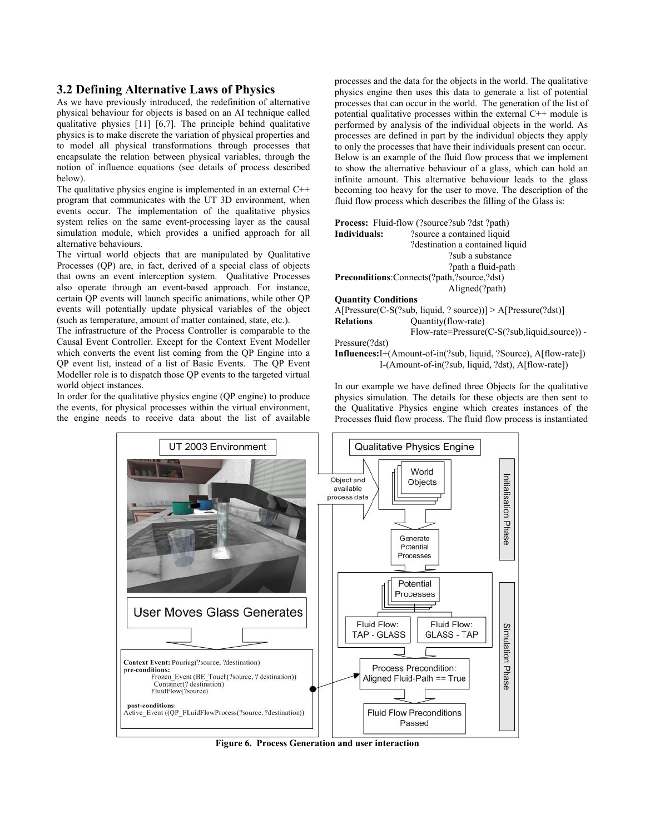## **3.2 Defining Alternative Laws of Physics**

As we have previously introduced, the redefinition of alternative physical behaviour for objects is based on an AI technique called qualitative physics [11] [6,7]. The principle behind qualitative physics is to make discrete the variation of physical properties and to model all physical transformations through processes that encapsulate the relation between physical variables, through the notion of influence equations (see details of process described below).

The qualitative physics engine is implemented in an external C++ program that communicates with the UT 3D environment, when events occur. The implementation of the qualitative physics system relies on the same event-processing layer as the causal simulation module, which provides a unified approach for all alternative behaviours*.* 

The virtual world objects that are manipulated by Qualitative Processes (QP) are, in fact, derived of a special class of objects that owns an event interception system. Qualitative Processes also operate through an event-based approach. For instance, certain QP events will launch specific animations, while other QP events will potentially update physical variables of the object (such as temperature, amount of matter contained, state, etc.).

The infrastructure of the Process Controller is comparable to the Causal Event Controller. Except for the Context Event Modeller which converts the event list coming from the QP Engine into a QP event list, instead of a list of Basic Events. The QP Event Modeller role is to dispatch those QP events to the targeted virtual world object instances.

In order for the qualitative physics engine (QP engine) to produce the events, for physical processes within the virtual environment, the engine needs to receive data about the list of available

processes and the data for the objects in the world. The qualitative physics engine then uses this data to generate a list of potential processes that can occur in the world. The generation of the list of potential qualitative processes within the external C++ module is performed by analysis of the individual objects in the world. As processes are defined in part by the individual objects they apply to only the processes that have their individuals present can occur. Below is an example of the fluid flow process that we implement to show the alternative behaviour of a glass, which can hold an infinite amount. This alternative behaviour leads to the glass becoming too heavy for the user to move. The description of the fluid flow process which describes the filling of the Glass is:

|                            | <b>Process:</b> Fluid-flow (?source?sub ?dst ?path)                      |
|----------------------------|--------------------------------------------------------------------------|
| Individuals:               | ?source a contained liquid                                               |
|                            | ? destination a contained liquid                                         |
|                            | ?sub a substance                                                         |
|                            | ?path a fluid-path                                                       |
|                            | <b>Preconditions:</b> Connects(?path,?source,?dst)                       |
|                            | Aligned(?path)                                                           |
| <b>Quantity Conditions</b> |                                                                          |
|                            | $A[Pressure(C-S(?sub, liquid, ? source))] > A[Pressure(?dst)]$           |
| <b>Relations</b>           | Quantity(flow-rate)                                                      |
|                            | $Flow-rate = Pressure(C-S(?sub, liquid, source)) -$                      |
| Pressure(?dst)             |                                                                          |
|                            | <b>Influences:</b> I+(Amount-of-in(?sub, liquid, ?Source), A[flow-rate]) |
|                            | I-(Amount-of-in(?sub, liquid, ?dst), A[flow-rate])                       |

In our example we have defined three Objects for the qualitative physics simulation. The details for these objects are then sent to the Qualitative Physics engine which creates instances of the Processes fluid flow process. The fluid flow process is instantiated



**Figure 6. Process Generation and user interaction**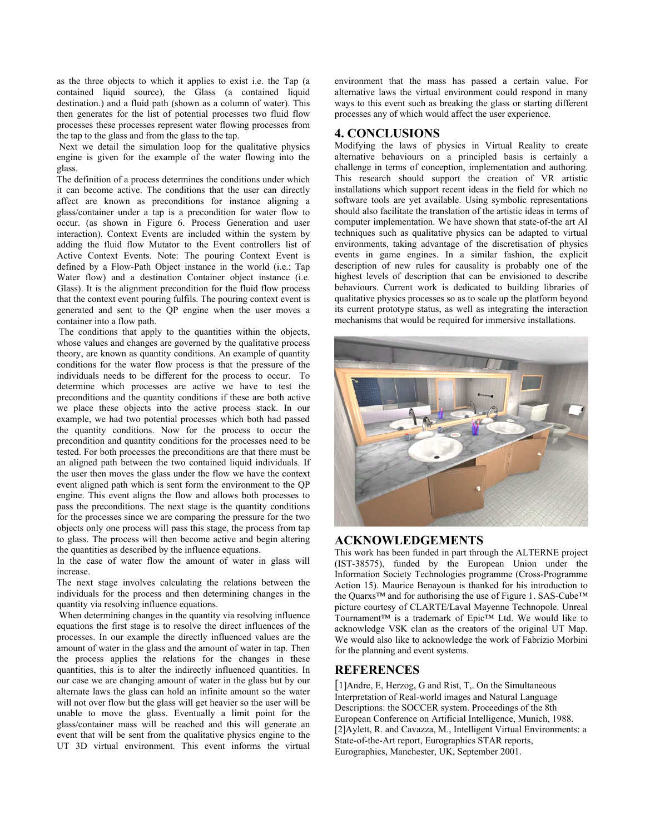as the three objects to which it applies to exist i.e. the Tap (a contained liquid source), the Glass (a contained liquid destination.) and a fluid path (shown as a column of water). This then generates for the list of potential processes two fluid flow processes these processes represent water flowing processes from the tap to the glass and from the glass to the tap.

 Next we detail the simulation loop for the qualitative physics engine is given for the example of the water flowing into the glass.

The definition of a process determines the conditions under which it can become active. The conditions that the user can directly affect are known as preconditions for instance aligning a glass/container under a tap is a precondition for water flow to occur. (as shown in Figure 6. Process Generation and user interaction). Context Events are included within the system by adding the fluid flow Mutator to the Event controllers list of Active Context Events. Note: The pouring Context Event is defined by a Flow-Path Object instance in the world (i.e.: Tap Water flow) and a destination Container object instance (i.e. Glass). It is the alignment precondition for the fluid flow process that the context event pouring fulfils. The pouring context event is generated and sent to the QP engine when the user moves a container into a flow path.

 The conditions that apply to the quantities within the objects, whose values and changes are governed by the qualitative process theory, are known as quantity conditions. An example of quantity conditions for the water flow process is that the pressure of the individuals needs to be different for the process to occur. To determine which processes are active we have to test the preconditions and the quantity conditions if these are both active we place these objects into the active process stack. In our example, we had two potential processes which both had passed the quantity conditions. Now for the process to occur the precondition and quantity conditions for the processes need to be tested. For both processes the preconditions are that there must be an aligned path between the two contained liquid individuals. If the user then moves the glass under the flow we have the context event aligned path which is sent form the environment to the QP engine. This event aligns the flow and allows both processes to pass the preconditions. The next stage is the quantity conditions for the processes since we are comparing the pressure for the two objects only one process will pass this stage, the process from tap to glass. The process will then become active and begin altering the quantities as described by the influence equations.

In the case of water flow the amount of water in glass will increase.

The next stage involves calculating the relations between the individuals for the process and then determining changes in the quantity via resolving influence equations.

 When determining changes in the quantity via resolving influence equations the first stage is to resolve the direct influences of the processes. In our example the directly influenced values are the amount of water in the glass and the amount of water in tap. Then the process applies the relations for the changes in these quantities, this is to alter the indirectly influenced quantities. In our case we are changing amount of water in the glass but by our alternate laws the glass can hold an infinite amount so the water will not over flow but the glass will get heavier so the user will be unable to move the glass. Eventually a limit point for the glass/container mass will be reached and this will generate an event that will be sent from the qualitative physics engine to the UT 3D virtual environment. This event informs the virtual environment that the mass has passed a certain value. For alternative laws the virtual environment could respond in many ways to this event such as breaking the glass or starting different processes any of which would affect the user experience.

## **4. CONCLUSIONS**

Modifying the laws of physics in Virtual Reality to create alternative behaviours on a principled basis is certainly a challenge in terms of conception, implementation and authoring. This research should support the creation of VR artistic installations which support recent ideas in the field for which no software tools are yet available. Using symbolic representations should also facilitate the translation of the artistic ideas in terms of computer implementation. We have shown that state-of-the art AI techniques such as qualitative physics can be adapted to virtual environments, taking advantage of the discretisation of physics events in game engines. In a similar fashion, the explicit description of new rules for causality is probably one of the highest levels of description that can be envisioned to describe behaviours. Current work is dedicated to building libraries of qualitative physics processes so as to scale up the platform beyond its current prototype status, as well as integrating the interaction mechanisms that would be required for immersive installations.



## **ACKNOWLEDGEMENTS**

This work has been funded in part through the ALTERNE project (IST-38575), funded by the European Union under the Information Society Technologies programme (Cross-Programme Action 15). Maurice Benayoun is thanked for his introduction to the Quarxs™ and for authorising the use of Figure 1. SAS-Cube™ picture courtesy of CLARTE/Laval Mayenne Technopole. Unreal Tournament™ is a trademark of Epic™ Ltd. We would like to acknowledge VSK clan as the creators of the original UT Map. We would also like to acknowledge the work of Fabrizio Morbini for the planning and event systems.

## **REFERENCES**

[1]Andre, E, Herzog, G and Rist, T,. On the Simultaneous Interpretation of Real-world images and Natural Language Descriptions: the SOCCER system. Proceedings of the 8th European Conference on Artificial Intelligence, Munich, 1988. [2]Aylett, R. and Cavazza, M., Intelligent Virtual Environments: a State-of-the-Art report, Eurographics STAR reports, Eurographics, Manchester, UK, September 2001.